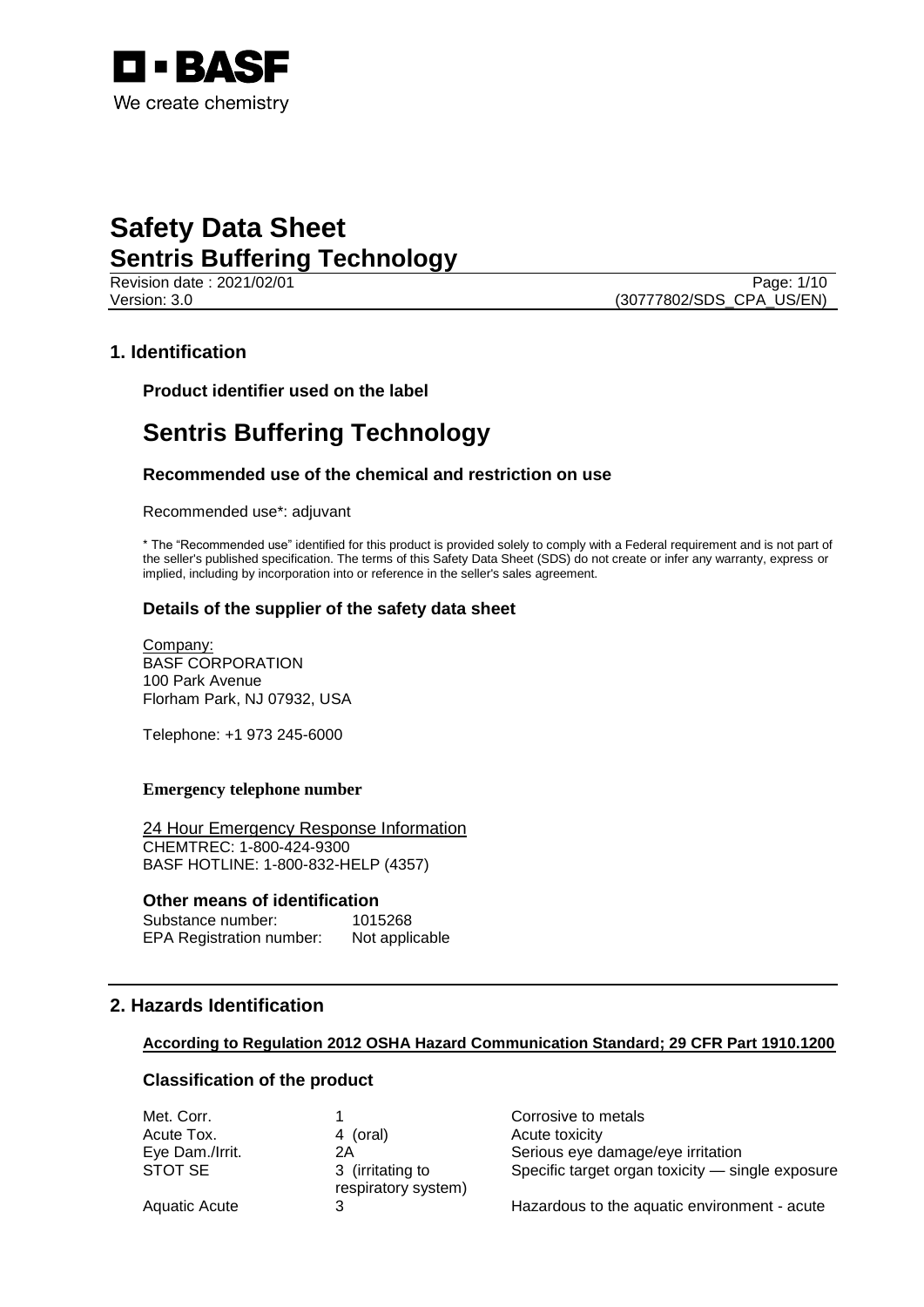

Revision date : 2021/02/01 Version: 3.0 (30777802/SDS\_CPA\_US/EN)

## **1. Identification**

**Product identifier used on the label**

# **Sentris Buffering Technology**

## **Recommended use of the chemical and restriction on use**

Recommended use\*: adjuvant

\* The "Recommended use" identified for this product is provided solely to comply with a Federal requirement and is not part of the seller's published specification. The terms of this Safety Data Sheet (SDS) do not create or infer any warranty, express or implied, including by incorporation into or reference in the seller's sales agreement.

## **Details of the supplier of the safety data sheet**

Company: BASF CORPORATION 100 Park Avenue Florham Park, NJ 07932, USA

Telephone: +1 973 245-6000

### **Emergency telephone number**

24 Hour Emergency Response Information CHEMTREC: 1-800-424-9300 BASF HOTLINE: 1-800-832-HELP (4357)

#### **Other means of identification**

Substance number: 1015268 EPA Registration number: Not applicable

## **2. Hazards Identification**

## **According to Regulation 2012 OSHA Hazard Communication Standard; 29 CFR Part 1910.1200**

## **Classification of the product**

| Met. Corr.      |                                         | Corrosive to metals                              |
|-----------------|-----------------------------------------|--------------------------------------------------|
| Acute Tox.      | 4 (oral)                                | Acute toxicity                                   |
| Eye Dam./Irrit. | 2Α                                      | Serious eye damage/eye irritation                |
| STOT SE         | 3 (irritating to<br>respiratory system) | Specific target organ toxicity - single exposure |
| Aquatic Acute   |                                         | Hazardous to the aquatic environment - acute     |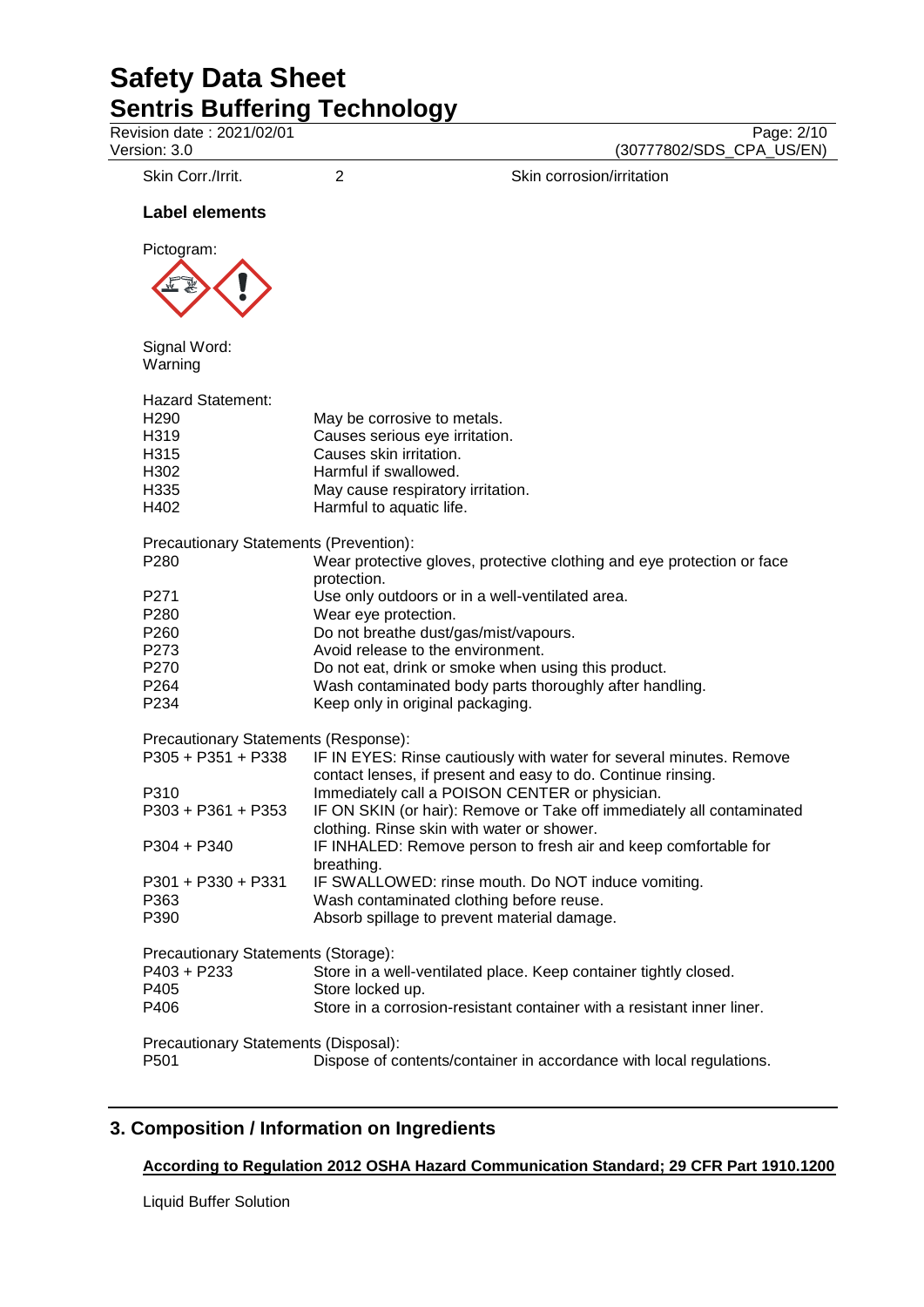Revision date : 2021/02/01<br>
Version: 3.0<br>
(30777802/SDS\_CPA\_US/EN)

(30777802/SDS\_CPA\_US/EN)

Skin Corr./Irrit. 2 2 Skin corrosion/irritation

## **Label elements**



Signal Word: Warning

| <b>Hazard Statement:</b>                      |                                                                                                                                     |
|-----------------------------------------------|-------------------------------------------------------------------------------------------------------------------------------------|
| H <sub>290</sub>                              | May be corrosive to metals.                                                                                                         |
| H319                                          | Causes serious eye irritation.                                                                                                      |
| H315                                          | Causes skin irritation.                                                                                                             |
| H302                                          | Harmful if swallowed.                                                                                                               |
| H335                                          | May cause respiratory irritation.                                                                                                   |
| H402                                          | Harmful to aquatic life.                                                                                                            |
| <b>Precautionary Statements (Prevention):</b> |                                                                                                                                     |
| P280                                          | Wear protective gloves, protective clothing and eye protection or face<br>protection.                                               |
| P271                                          | Use only outdoors or in a well-ventilated area.                                                                                     |
| P280                                          | Wear eye protection.                                                                                                                |
| P260                                          | Do not breathe dust/gas/mist/vapours.                                                                                               |
| P273                                          | Avoid release to the environment.                                                                                                   |
| P270                                          | Do not eat, drink or smoke when using this product.                                                                                 |
| P <sub>264</sub>                              | Wash contaminated body parts thoroughly after handling.                                                                             |
| P234                                          | Keep only in original packaging.                                                                                                    |
| Precautionary Statements (Response):          |                                                                                                                                     |
| P305 + P351 + P338                            | IF IN EYES: Rinse cautiously with water for several minutes. Remove<br>contact lenses, if present and easy to do. Continue rinsing. |
| P310                                          | Immediately call a POISON CENTER or physician.                                                                                      |
| $P303 + P361 + P353$                          | IF ON SKIN (or hair): Remove or Take off immediately all contaminated<br>clothing. Rinse skin with water or shower.                 |
| $P304 + P340$                                 | IF INHALED: Remove person to fresh air and keep comfortable for<br>breathing.                                                       |
| P301 + P330 + P331                            | IF SWALLOWED: rinse mouth. Do NOT induce vomiting.                                                                                  |
| P363                                          | Wash contaminated clothing before reuse.                                                                                            |
| P390                                          | Absorb spillage to prevent material damage.                                                                                         |
| Precautionary Statements (Storage):           |                                                                                                                                     |
| P403 + P233                                   | Store in a well-ventilated place. Keep container tightly closed.                                                                    |
| P405                                          | Store locked up.                                                                                                                    |
| P406                                          | Store in a corrosion-resistant container with a resistant inner liner.                                                              |
| Precautionary Statements (Disposal):          |                                                                                                                                     |
| P501                                          | Dispose of contents/container in accordance with local regulations.                                                                 |
|                                               |                                                                                                                                     |

# **3. Composition / Information on Ingredients**

# **According to Regulation 2012 OSHA Hazard Communication Standard; 29 CFR Part 1910.1200**

Liquid Buffer Solution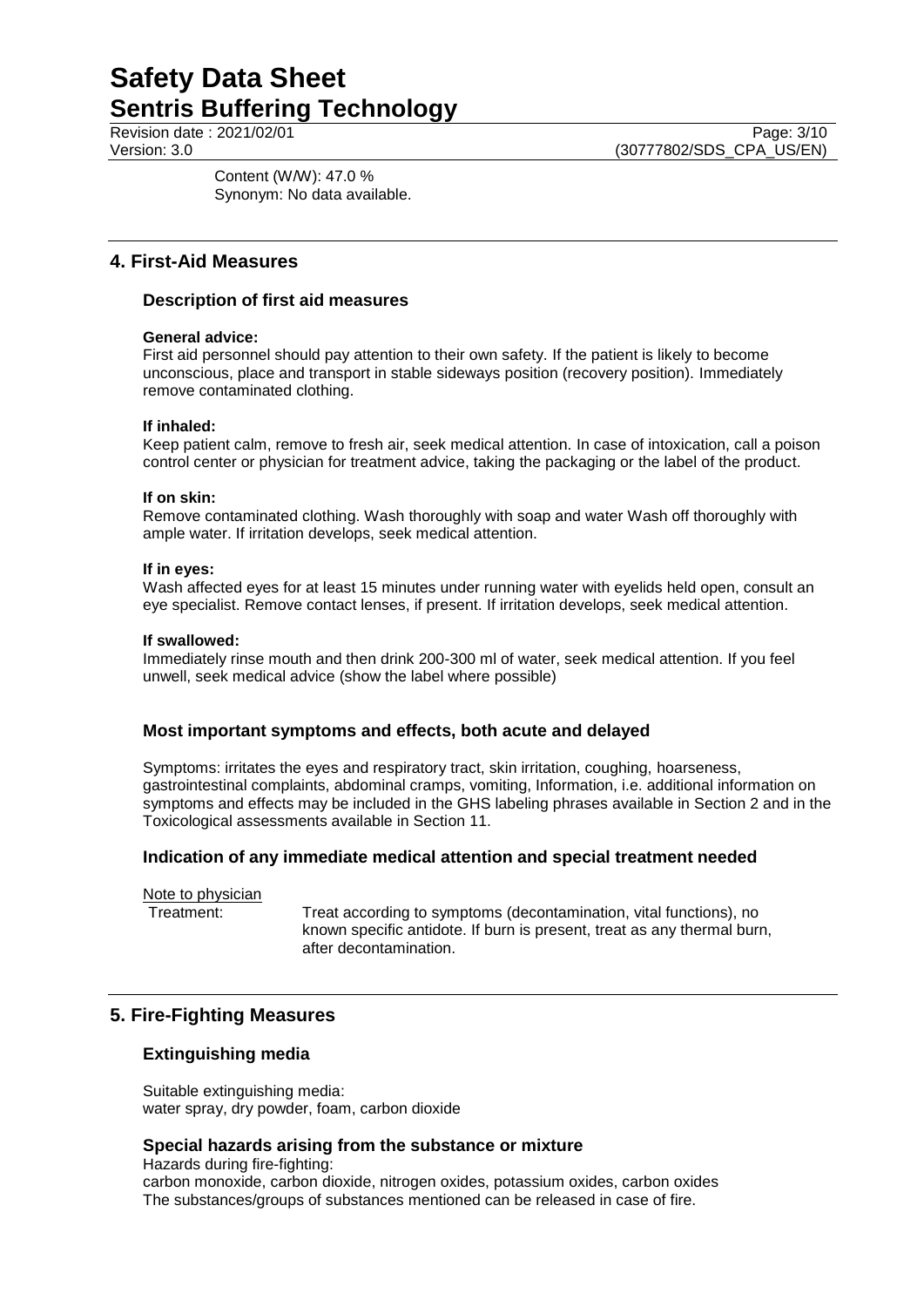Content (W/W): 47.0 % Synonym: No data available.

## **4. First-Aid Measures**

## **Description of first aid measures**

### **General advice:**

First aid personnel should pay attention to their own safety. If the patient is likely to become unconscious, place and transport in stable sideways position (recovery position). Immediately remove contaminated clothing.

### **If inhaled:**

Keep patient calm, remove to fresh air, seek medical attention. In case of intoxication, call a poison control center or physician for treatment advice, taking the packaging or the label of the product.

#### **If on skin:**

Remove contaminated clothing. Wash thoroughly with soap and water Wash off thoroughly with ample water. If irritation develops, seek medical attention.

### **If in eyes:**

Wash affected eyes for at least 15 minutes under running water with eyelids held open, consult an eye specialist. Remove contact lenses, if present. If irritation develops, seek medical attention.

#### **If swallowed:**

Immediately rinse mouth and then drink 200-300 ml of water, seek medical attention. If you feel unwell, seek medical advice (show the label where possible)

## **Most important symptoms and effects, both acute and delayed**

Symptoms: irritates the eyes and respiratory tract, skin irritation, coughing, hoarseness, gastrointestinal complaints, abdominal cramps, vomiting, Information, i.e. additional information on symptoms and effects may be included in the GHS labeling phrases available in Section 2 and in the Toxicological assessments available in Section 11.

## **Indication of any immediate medical attention and special treatment needed**

Note to physician

Treatment: Treat according to symptoms (decontamination, vital functions), no known specific antidote. If burn is present, treat as any thermal burn, after decontamination.

## **5. Fire-Fighting Measures**

## **Extinguishing media**

Suitable extinguishing media: water spray, dry powder, foam, carbon dioxide

#### **Special hazards arising from the substance or mixture**

Hazards during fire-fighting: carbon monoxide, carbon dioxide, nitrogen oxides, potassium oxides, carbon oxides The substances/groups of substances mentioned can be released in case of fire.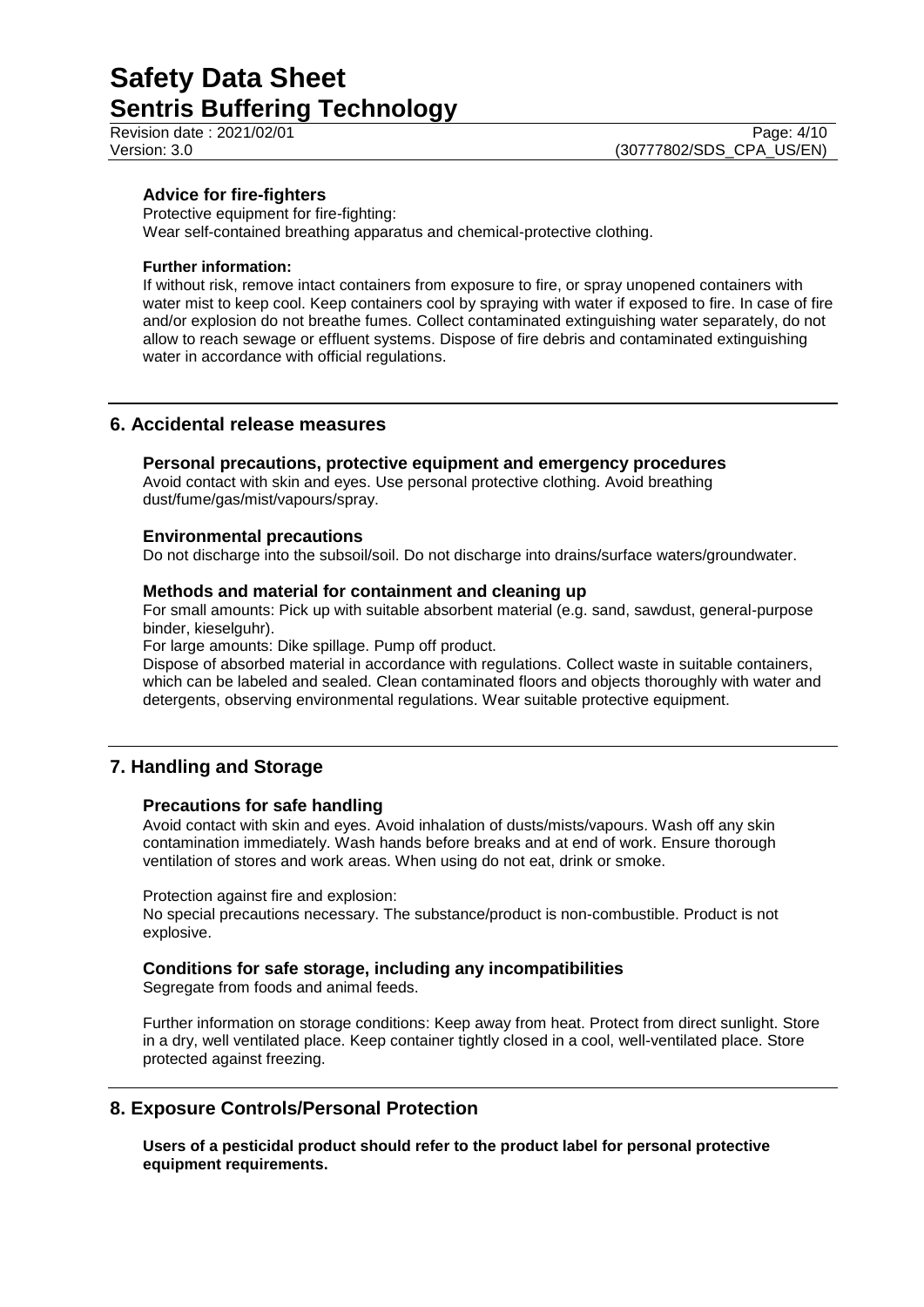## **Advice for fire-fighters**

Protective equipment for fire-fighting:

Wear self-contained breathing apparatus and chemical-protective clothing.

#### **Further information:**

If without risk, remove intact containers from exposure to fire, or spray unopened containers with water mist to keep cool. Keep containers cool by spraying with water if exposed to fire. In case of fire and/or explosion do not breathe fumes. Collect contaminated extinguishing water separately, do not allow to reach sewage or effluent systems. Dispose of fire debris and contaminated extinguishing water in accordance with official regulations.

## **6. Accidental release measures**

#### **Personal precautions, protective equipment and emergency procedures**

Avoid contact with skin and eyes. Use personal protective clothing. Avoid breathing dust/fume/gas/mist/vapours/spray.

### **Environmental precautions**

Do not discharge into the subsoil/soil. Do not discharge into drains/surface waters/groundwater.

#### **Methods and material for containment and cleaning up**

For small amounts: Pick up with suitable absorbent material (e.g. sand, sawdust, general-purpose binder, kieselguhr).

For large amounts: Dike spillage. Pump off product.

Dispose of absorbed material in accordance with regulations. Collect waste in suitable containers, which can be labeled and sealed. Clean contaminated floors and objects thoroughly with water and detergents, observing environmental regulations. Wear suitable protective equipment.

## **7. Handling and Storage**

#### **Precautions for safe handling**

Avoid contact with skin and eyes. Avoid inhalation of dusts/mists/vapours. Wash off any skin contamination immediately. Wash hands before breaks and at end of work. Ensure thorough ventilation of stores and work areas. When using do not eat, drink or smoke.

Protection against fire and explosion:

No special precautions necessary. The substance/product is non-combustible. Product is not explosive.

#### **Conditions for safe storage, including any incompatibilities**

Segregate from foods and animal feeds.

Further information on storage conditions: Keep away from heat. Protect from direct sunlight. Store in a dry, well ventilated place. Keep container tightly closed in a cool, well-ventilated place. Store protected against freezing.

## **8. Exposure Controls/Personal Protection**

**Users of a pesticidal product should refer to the product label for personal protective equipment requirements.**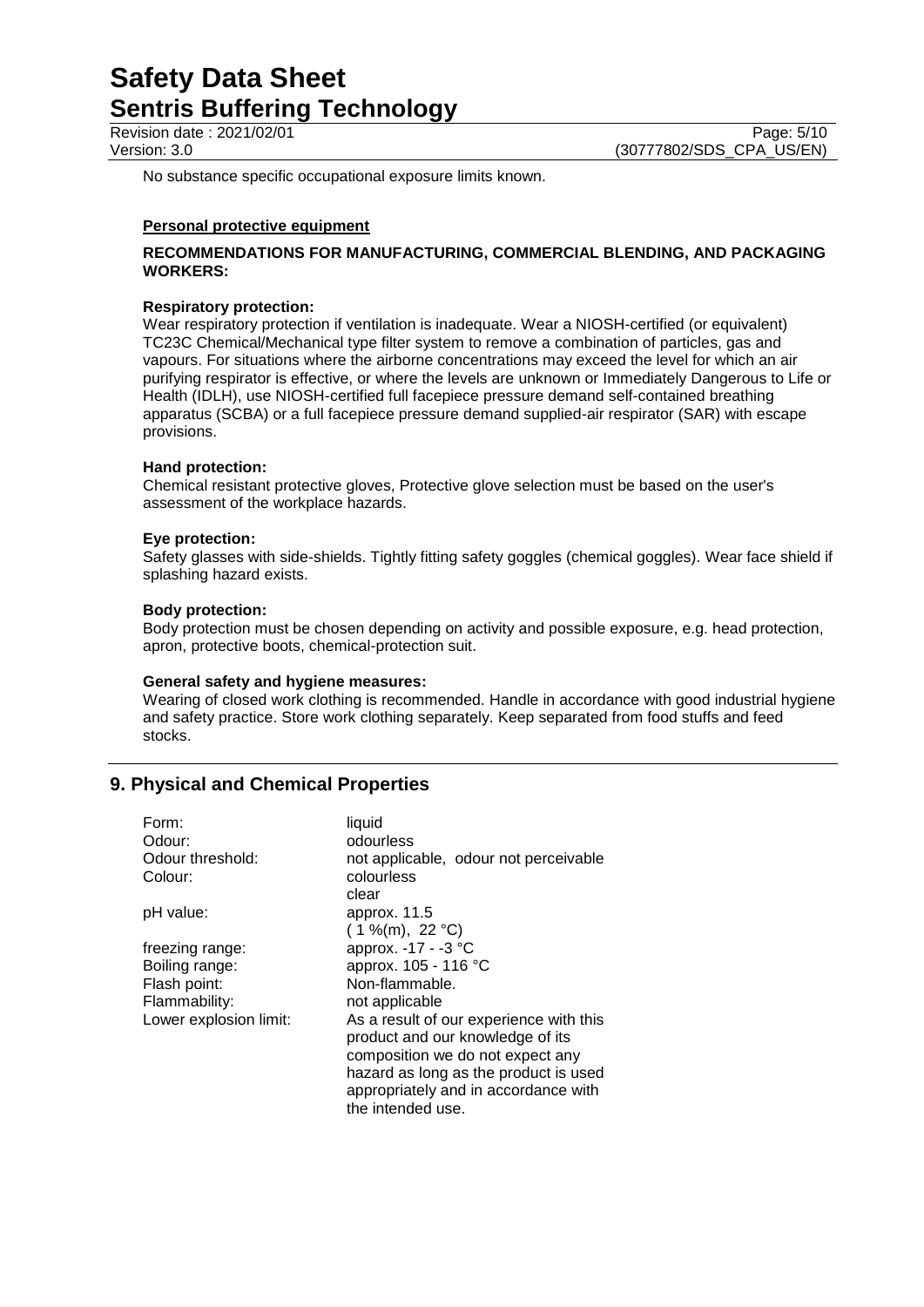Revision date : 2021/02/01<br>
Version: 3.0<br>
(30777802/SDS CPA US/EN) (30777802/SDS\_CPA\_US/EN)

No substance specific occupational exposure limits known.

#### **Personal protective equipment**

#### **RECOMMENDATIONS FOR MANUFACTURING, COMMERCIAL BLENDING, AND PACKAGING WORKERS:**

#### **Respiratory protection:**

Wear respiratory protection if ventilation is inadequate. Wear a NIOSH-certified (or equivalent) TC23C Chemical/Mechanical type filter system to remove a combination of particles, gas and vapours. For situations where the airborne concentrations may exceed the level for which an air purifying respirator is effective, or where the levels are unknown or Immediately Dangerous to Life or Health (IDLH), use NIOSH-certified full facepiece pressure demand self-contained breathing apparatus (SCBA) or a full facepiece pressure demand supplied-air respirator (SAR) with escape provisions.

#### **Hand protection:**

Chemical resistant protective gloves, Protective glove selection must be based on the user's assessment of the workplace hazards.

#### **Eye protection:**

Safety glasses with side-shields. Tightly fitting safety goggles (chemical goggles). Wear face shield if splashing hazard exists.

#### **Body protection:**

Body protection must be chosen depending on activity and possible exposure, e.g. head protection, apron, protective boots, chemical-protection suit.

#### **General safety and hygiene measures:**

Wearing of closed work clothing is recommended. Handle in accordance with good industrial hygiene and safety practice. Store work clothing separately. Keep separated from food stuffs and feed stocks.

## **9. Physical and Chemical Properties**

| Form:                  | liquid                                  |
|------------------------|-----------------------------------------|
| Odour:                 | odourless                               |
| Odour threshold:       | not applicable, odour not perceivable   |
| Colour:                | colourless                              |
|                        | clear                                   |
| pH value:              | approx. 11.5                            |
|                        | $(1\%$ (m), 22 °C)                      |
| freezing range:        | approx. -17 - -3 °C                     |
| Boiling range:         | approx. 105 - 116 °C                    |
| Flash point:           | Non-flammable.                          |
| Flammability:          | not applicable                          |
| Lower explosion limit: | As a result of our experience with this |
|                        | product and our knowledge of its        |
|                        | composition we do not expect any        |
|                        | hazard as long as the product is used   |
|                        | appropriately and in accordance with    |
|                        | the intended use.                       |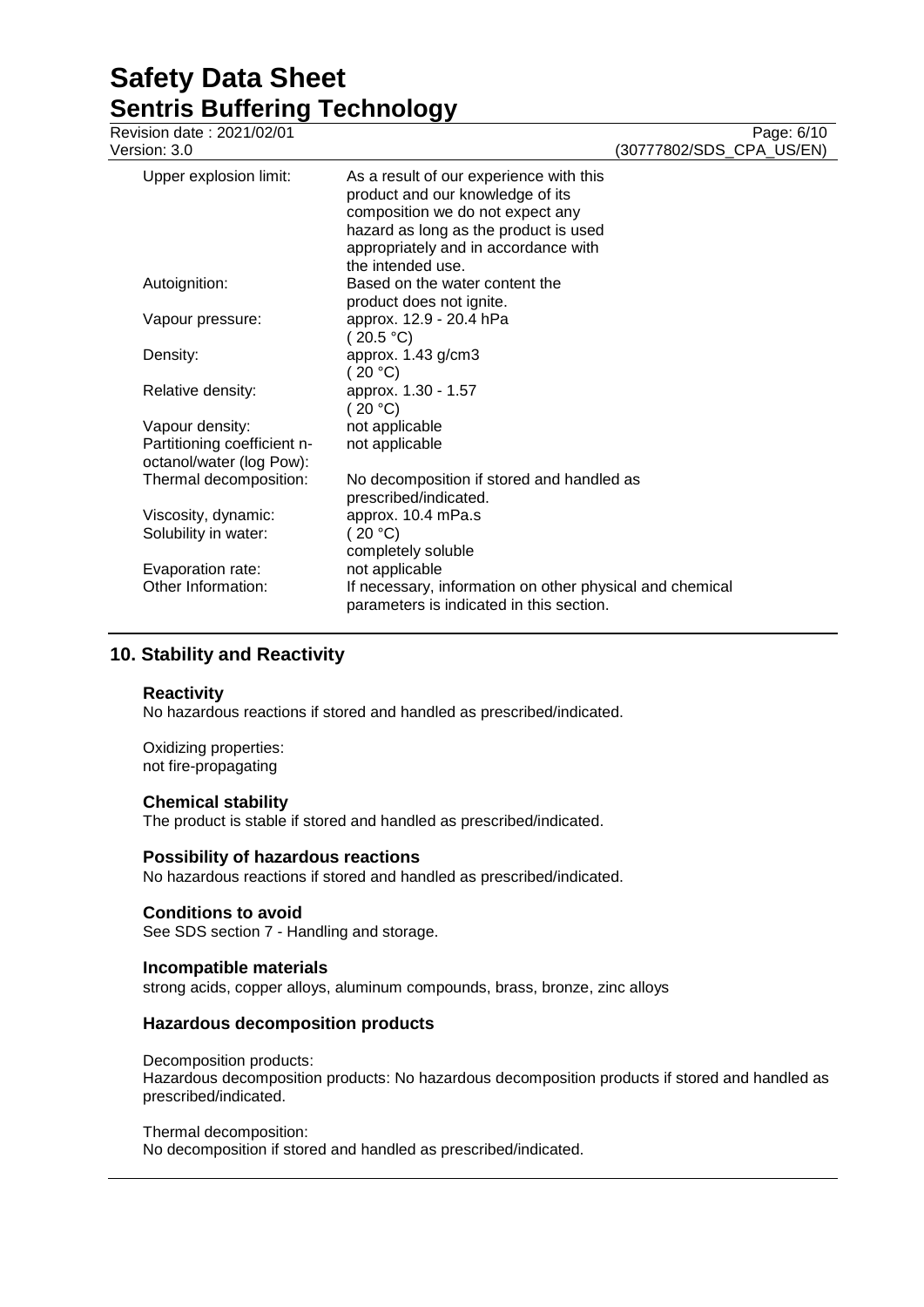# **Safety Data Sheet Sentris Buffering Technology**<br>Revision date: 2021/02/01

| Revision date : 2021/02/01<br>Version: 3.0              |                                                                                                                                                                                                                       | Page: 6/10<br>(30777802/SDS_CPA_US/EN) |
|---------------------------------------------------------|-----------------------------------------------------------------------------------------------------------------------------------------------------------------------------------------------------------------------|----------------------------------------|
| Upper explosion limit:                                  | As a result of our experience with this<br>product and our knowledge of its<br>composition we do not expect any<br>hazard as long as the product is used<br>appropriately and in accordance with<br>the intended use. |                                        |
| Autoignition:                                           | Based on the water content the<br>product does not ignite.                                                                                                                                                            |                                        |
| Vapour pressure:                                        | approx. 12.9 - 20.4 hPa<br>(20.5 °C)                                                                                                                                                                                  |                                        |
| Density:                                                | approx. 1.43 g/cm3<br>(20 °C)                                                                                                                                                                                         |                                        |
| Relative density:                                       | approx. 1.30 - 1.57<br>(20 °C)                                                                                                                                                                                        |                                        |
| Vapour density:                                         | not applicable                                                                                                                                                                                                        |                                        |
| Partitioning coefficient n-<br>octanol/water (log Pow): | not applicable                                                                                                                                                                                                        |                                        |
| Thermal decomposition:                                  | No decomposition if stored and handled as<br>prescribed/indicated.                                                                                                                                                    |                                        |
| Viscosity, dynamic:                                     | approx. 10.4 mPa.s                                                                                                                                                                                                    |                                        |
| Solubility in water:                                    | (20 °C)<br>completely soluble                                                                                                                                                                                         |                                        |
| Evaporation rate:                                       | not applicable                                                                                                                                                                                                        |                                        |
| Other Information:                                      | If necessary, information on other physical and chemical<br>parameters is indicated in this section.                                                                                                                  |                                        |

# **10. Stability and Reactivity**

#### **Reactivity**

No hazardous reactions if stored and handled as prescribed/indicated.

Oxidizing properties: not fire-propagating

#### **Chemical stability**

The product is stable if stored and handled as prescribed/indicated.

#### **Possibility of hazardous reactions**

No hazardous reactions if stored and handled as prescribed/indicated.

#### **Conditions to avoid**

See SDS section 7 - Handling and storage.

### **Incompatible materials**

strong acids, copper alloys, aluminum compounds, brass, bronze, zinc alloys

#### **Hazardous decomposition products**

#### Decomposition products:

Hazardous decomposition products: No hazardous decomposition products if stored and handled as prescribed/indicated.

#### Thermal decomposition:

No decomposition if stored and handled as prescribed/indicated.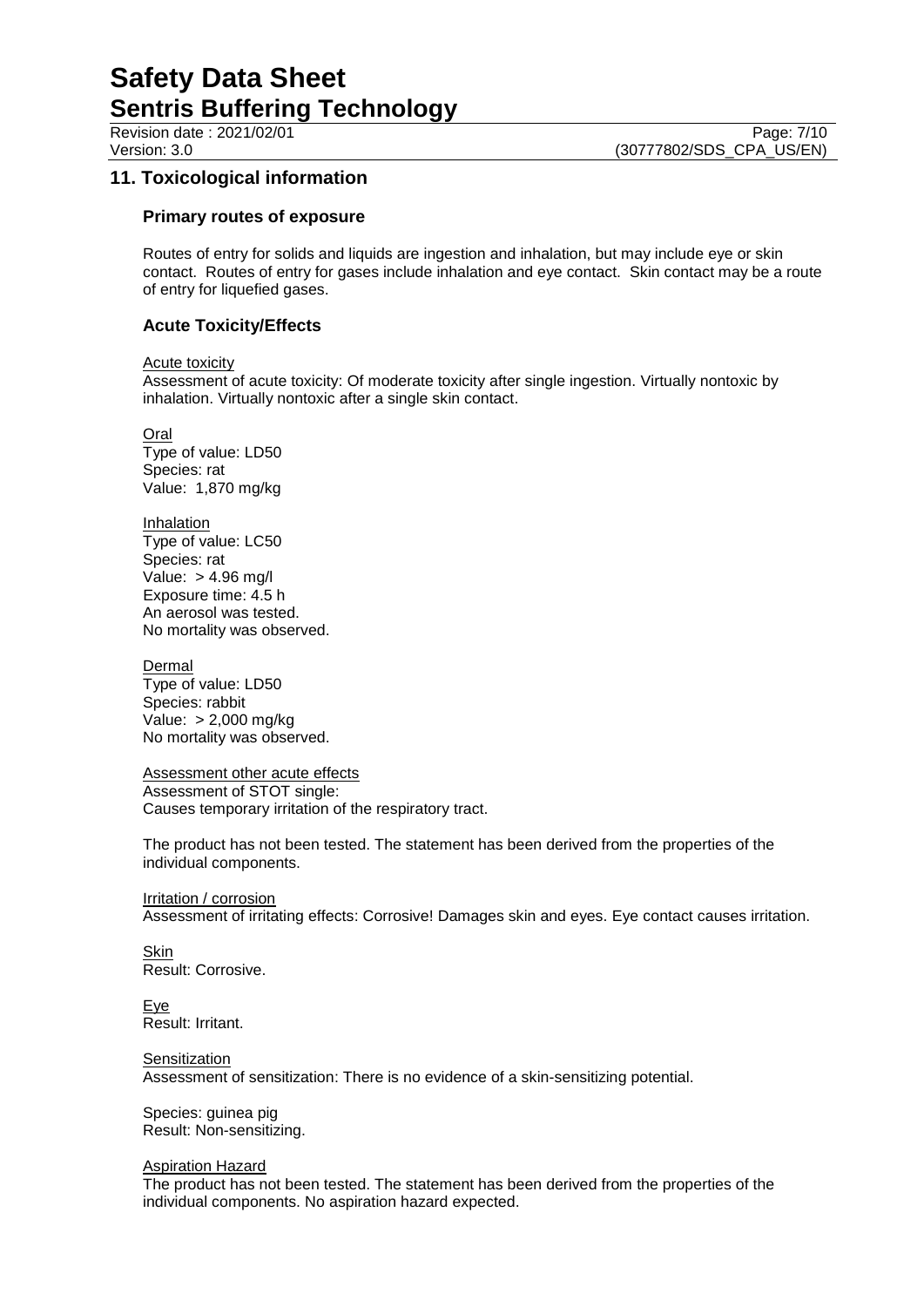Revision date : 2021/02/01 Version: 3.0 **(30777802/SDS\_CPA\_US/EN)** 

# **11. Toxicological information**

#### **Primary routes of exposure**

Routes of entry for solids and liquids are ingestion and inhalation, but may include eye or skin contact. Routes of entry for gases include inhalation and eye contact. Skin contact may be a route of entry for liquefied gases.

## **Acute Toxicity/Effects**

Acute toxicity

Assessment of acute toxicity: Of moderate toxicity after single ingestion. Virtually nontoxic by inhalation. Virtually nontoxic after a single skin contact.

Oral Type of value: LD50 Species: rat Value: 1,870 mg/kg

Inhalation Type of value: LC50 Species: rat Value: > 4.96 mg/l Exposure time: 4.5 h An aerosol was tested. No mortality was observed.

Dermal Type of value: LD50

Species: rabbit Value: > 2,000 mg/kg No mortality was observed.

Assessment other acute effects Assessment of STOT single: Causes temporary irritation of the respiratory tract.

The product has not been tested. The statement has been derived from the properties of the individual components.

**Irritation / corrosion** Assessment of irritating effects: Corrosive! Damages skin and eyes. Eye contact causes irritation.

Skin Result: Corrosive.

Eye Result: Irritant.

**Sensitization** 

Assessment of sensitization: There is no evidence of a skin-sensitizing potential.

Species: guinea pig Result: Non-sensitizing.

Aspiration Hazard

The product has not been tested. The statement has been derived from the properties of the individual components. No aspiration hazard expected.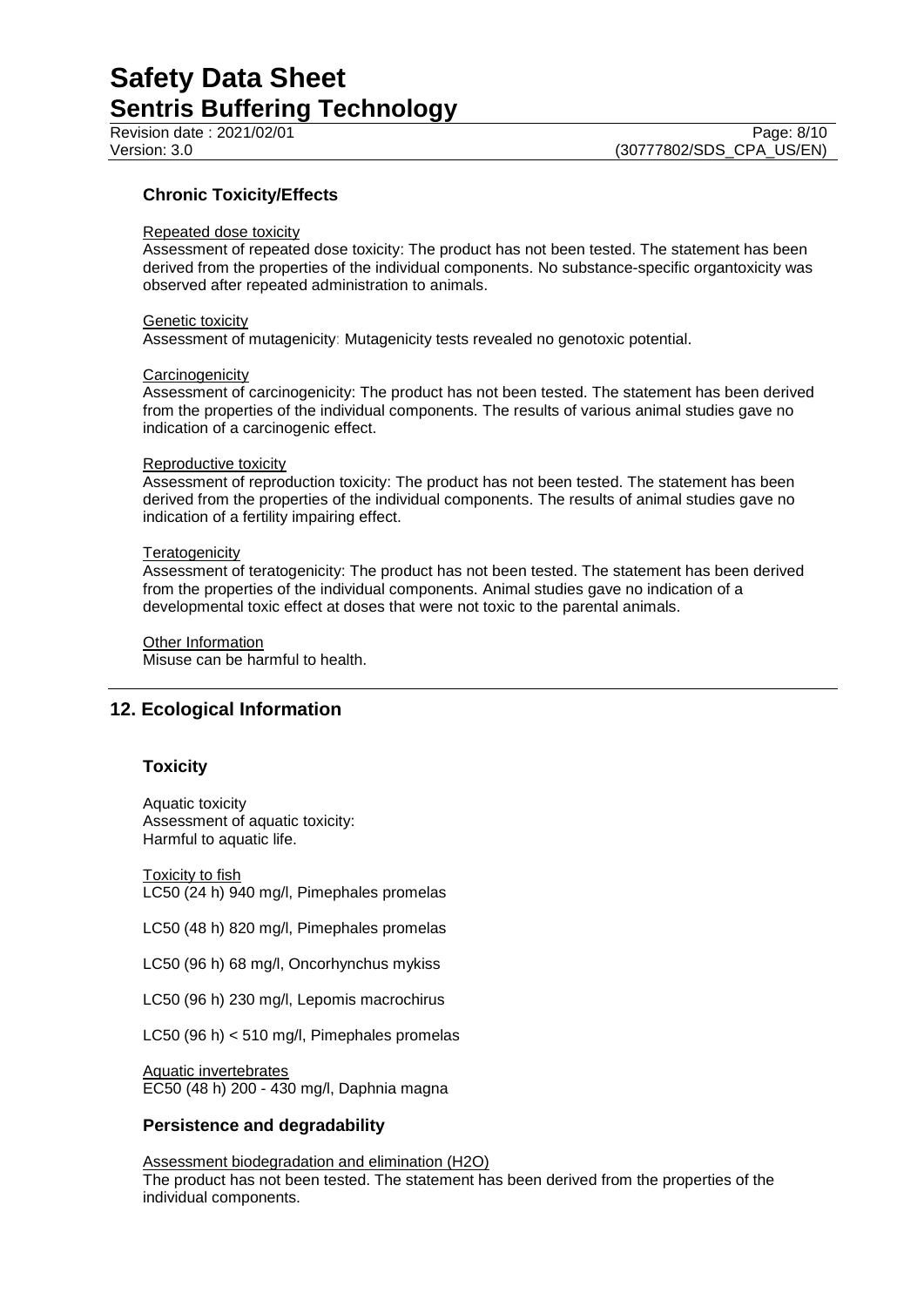## **Chronic Toxicity/Effects**

#### Repeated dose toxicity

Assessment of repeated dose toxicity: The product has not been tested. The statement has been derived from the properties of the individual components. No substance-specific organtoxicity was observed after repeated administration to animals.

#### Genetic toxicity

Assessment of mutagenicity: Mutagenicity tests revealed no genotoxic potential.

#### **Carcinogenicity**

Assessment of carcinogenicity: The product has not been tested. The statement has been derived from the properties of the individual components. The results of various animal studies gave no indication of a carcinogenic effect.

#### Reproductive toxicity

Assessment of reproduction toxicity: The product has not been tested. The statement has been derived from the properties of the individual components. The results of animal studies gave no indication of a fertility impairing effect.

#### **Teratogenicity**

Assessment of teratogenicity: The product has not been tested. The statement has been derived from the properties of the individual components. Animal studies gave no indication of a developmental toxic effect at doses that were not toxic to the parental animals.

Other Information Misuse can be harmful to health.

## **12. Ecological Information**

## **Toxicity**

Aquatic toxicity Assessment of aquatic toxicity: Harmful to aquatic life.

**Toxicity to fish** LC50 (24 h) 940 mg/l, Pimephales promelas

LC50 (48 h) 820 mg/l, Pimephales promelas

LC50 (96 h) 68 mg/l, Oncorhynchus mykiss

LC50 (96 h) 230 mg/l, Lepomis macrochirus

LC50 (96 h) < 510 mg/l, Pimephales promelas

Aquatic invertebrates

EC50 (48 h) 200 - 430 mg/l, Daphnia magna

## **Persistence and degradability**

Assessment biodegradation and elimination (H2O)

The product has not been tested. The statement has been derived from the properties of the individual components.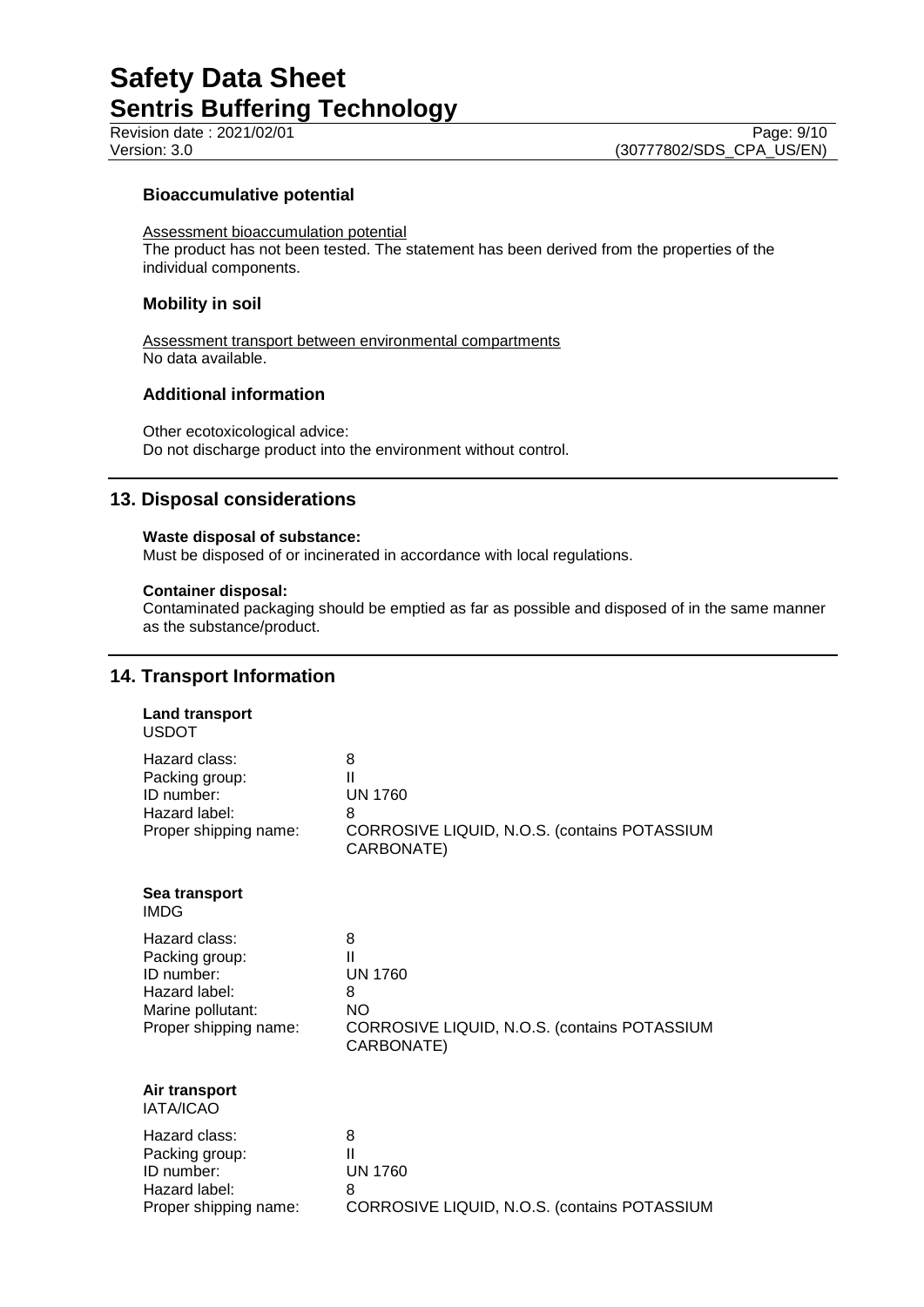Revision date : 2021/02/01<br>
Version: 3.0<br>
(30777802/SDS CPA US/EN) (30777802/SDS\_CPA\_US/EN)

## **Bioaccumulative potential**

Assessment bioaccumulation potential

The product has not been tested. The statement has been derived from the properties of the individual components.

### **Mobility in soil**

Assessment transport between environmental compartments No data available.

## **Additional information**

Other ecotoxicological advice: Do not discharge product into the environment without control.

## **13. Disposal considerations**

### **Waste disposal of substance:**

Must be disposed of or incinerated in accordance with local regulations.

#### **Container disposal:**

Contaminated packaging should be emptied as far as possible and disposed of in the same manner as the substance/product.

## **14. Transport Information**

| <b>Land transport</b><br><b>USDOT</b>                                                                        |                                                                                                          |
|--------------------------------------------------------------------------------------------------------------|----------------------------------------------------------------------------------------------------------|
| Hazard class:<br>Packing group:<br>ID number:<br>Hazard label:<br>Proper shipping name:                      | 8<br>Ш<br><b>UN 1760</b><br>8<br>CORROSIVE LIQUID, N.O.S. (contains POTASSIUM<br>CARBONATE)              |
| Sea transport<br><b>IMDG</b>                                                                                 |                                                                                                          |
| Hazard class:<br>Packing group:<br>ID number:<br>Hazard label:<br>Marine pollutant:<br>Proper shipping name: | 8<br>Ш<br><b>UN 1760</b><br>8<br><b>NO</b><br>CORROSIVE LIQUID, N.O.S. (contains POTASSIUM<br>CARBONATE) |
| Air transport<br><b>IATA/ICAO</b>                                                                            |                                                                                                          |
| Hazard class:<br>Packing group:<br>ID number:<br>Hazard label:<br>Proper shipping name:                      | 8<br>Ш<br><b>UN 1760</b><br>8<br>CORROSIVE LIQUID, N.O.S. (contains POTASSIUM                            |